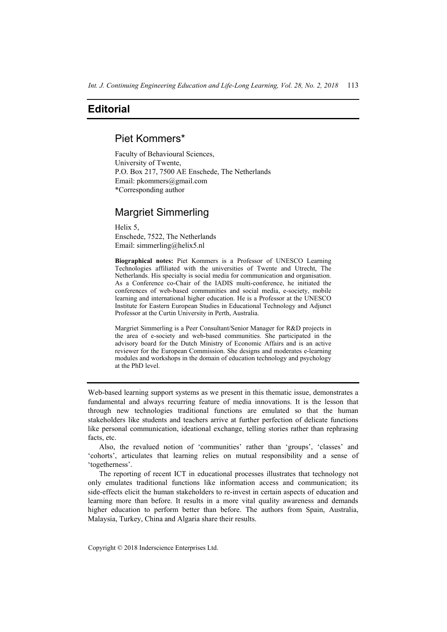## **Editorial**

## Piet Kommers\*

Faculty of Behavioural Sciences, University of Twente, P.O. Box 217, 7500 AE Enschede, The Netherlands Email: pkommers@gmail.com \*Corresponding author

## Margriet Simmerling

Helix 5, Enschede, 7522, The Netherlands Email: simmerling@helix5.nl

**Biographical notes:** Piet Kommers is a Professor of UNESCO Learning Technologies affiliated with the universities of Twente and Utrecht, The Netherlands. His specialty is social media for communication and organisation. As a Conference co-Chair of the IADIS multi-conference, he initiated the conferences of web-based communities and social media, e-society, mobile learning and international higher education. He is a Professor at the UNESCO Institute for Eastern European Studies in Educational Technology and Adjunct Professor at the Curtin University in Perth, Australia.

Margriet Simmerling is a Peer Consultant/Senior Manager for R&D projects in the area of e-society and web-based communities. She participated in the advisory board for the Dutch Ministry of Economic Affairs and is an active reviewer for the European Commission. She designs and moderates e-learning modules and workshops in the domain of education technology and psychology at the PhD level.

Web-based learning support systems as we present in this thematic issue, demonstrates a fundamental and always recurring feature of media innovations. It is the lesson that through new technologies traditional functions are emulated so that the human stakeholders like students and teachers arrive at further perfection of delicate functions like personal communication, ideational exchange, telling stories rather than rephrasing facts, etc.

Also, the revalued notion of 'communities' rather than 'groups', 'classes' and 'cohorts', articulates that learning relies on mutual responsibility and a sense of 'togetherness'.

The reporting of recent ICT in educational processes illustrates that technology not only emulates traditional functions like information access and communication; its side-effects elicit the human stakeholders to re-invest in certain aspects of education and learning more than before. It results in a more vital quality awareness and demands higher education to perform better than before. The authors from Spain, Australia, Malaysia, Turkey, China and Algaria share their results.